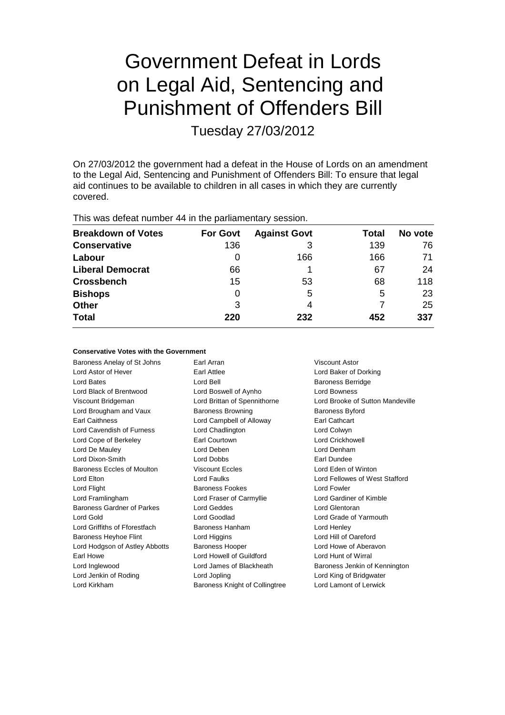# Government Defeat in Lords on Legal Aid, Sentencing and Punishment of Offenders Bill

Tuesday 27/03/2012

On 27/03/2012 the government had a defeat in the House of Lords on an amendment to the Legal Aid, Sentencing and Punishment of Offenders Bill: To ensure that legal aid continues to be available to children in all cases in which they are currently covered.

This was defeat number 44 in the parliamentary session.

| <b>Breakdown of Votes</b> | <b>For Govt</b> | <b>Against Govt</b> | Total | No vote |
|---------------------------|-----------------|---------------------|-------|---------|
| <b>Conservative</b>       | 136             | 3                   | 139   | 76      |
| Labour                    | 0               | 166                 | 166   | 71      |
| <b>Liberal Democrat</b>   | 66              |                     | 67    | 24      |
| <b>Crossbench</b>         | 15              | 53                  | 68    | 118     |
| <b>Bishops</b>            | 0               | 5                   | 5     | 23      |
| <b>Other</b>              | 3               | 4                   |       | 25      |
| <b>Total</b>              | 220             | 232                 | 452   | 337     |

## **Conservative Votes with the Government**

| Baroness Anelay of St Johns       | Earl Arran                     | Viscount Astor                   |  |
|-----------------------------------|--------------------------------|----------------------------------|--|
| Lord Astor of Hever               | Earl Attlee                    | Lord Baker of Dorking            |  |
| Lord Bates                        | Lord Bell                      | <b>Baroness Berridge</b>         |  |
| Lord Black of Brentwood           | Lord Boswell of Aynho          | Lord Bowness                     |  |
| Viscount Bridgeman                | Lord Brittan of Spennithorne   | Lord Brooke of Sutton Mandeville |  |
| Lord Brougham and Vaux            | <b>Baroness Browning</b>       | <b>Baroness Byford</b>           |  |
| <b>Earl Caithness</b>             | Lord Campbell of Alloway       | <b>Earl Cathcart</b>             |  |
| Lord Cavendish of Furness         | Lord Chadlington               | Lord Colwyn                      |  |
| Lord Cope of Berkeley             | Earl Courtown                  | <b>Lord Crickhowell</b>          |  |
| Lord De Mauley                    | Lord Deben                     | Lord Denham                      |  |
| Lord Dixon-Smith                  | <b>Lord Dobbs</b>              | Earl Dundee                      |  |
| <b>Baroness Eccles of Moulton</b> | <b>Viscount Eccles</b>         | Lord Eden of Winton              |  |
| Lord Elton                        | Lord Faulks                    | Lord Fellowes of West Stafford   |  |
| Lord Flight                       | <b>Baroness Fookes</b>         | Lord Fowler                      |  |
| Lord Framlingham                  | Lord Fraser of Carmyllie       | Lord Gardiner of Kimble          |  |
| Baroness Gardner of Parkes        | Lord Geddes                    | Lord Glentoran                   |  |
| Lord Gold                         | Lord Goodlad                   | Lord Grade of Yarmouth           |  |
| Lord Griffiths of Fforestfach     | Baroness Hanham                | Lord Henley                      |  |
| Baroness Heyhoe Flint             | Lord Higgins                   | Lord Hill of Oareford            |  |
| Lord Hodgson of Astley Abbotts    | <b>Baroness Hooper</b>         | Lord Howe of Aberavon            |  |
| Earl Howe                         | Lord Howell of Guildford       | Lord Hunt of Wirral              |  |
| Lord Inglewood                    | Lord James of Blackheath       | Baroness Jenkin of Kennington    |  |
| Lord Jenkin of Roding             | Lord Jopling                   | Lord King of Bridgwater          |  |
| Lord Kirkham                      | Baroness Knight of Collingtree | Lord Lamont of Lerwick           |  |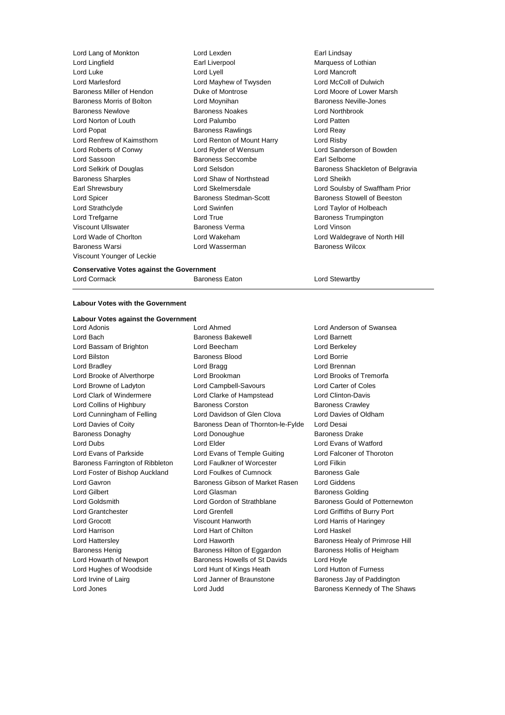Lord Lang of Monkton Lord Lexden Earl Lindsay Lord Lingfield Earl Liverpool Marquess of Lothian Lord Luke Lord Lyell Lord Mancroft Lord Marlesford **Lord Mayhew of Twysden** Lord McColl of Dulwich Baroness Miller of Hendon **Duke of Montrose** Lord Moore of Lower Marsh Baroness Morris of Bolton **Lord Moynihan** Baroness Neville-Jones Baroness Newlove Baroness Noakes Lord Northbrook Lord Norton of Louth Lord Palumbo Lord Patten Lord Popat **Baroness Rawlings** Lord Reay Lord Renfrew of Kaimsthorn Lord Renton of Mount Harry Lord Risby Lord Roberts of Conwy Lord Ryder of Wensum Lord Sanderson of Bowden Lord Sassoon Baroness Seccombe Earl Selborne Lord Selkirk of Douglas **Lord Selsdon** Baroness Shackleton of Belgravia Baroness Sharples **Lord Shaw of Northstead** Lord Sheikh Earl Shrewsbury Lord Skelmersdale Lord Soulsby of Swaffham Prior Lord Spicer **Baroness Stedman-Scott** Baroness Stedman-Baroness Stowell of Beeston Lord Strathclyde Lord Swinfen Lord Taylor of Holbeach Lord Trefgarne **Lord True** Lord True **Baroness Trumpington** Viscount Ullswater Baroness Verma Lord Vinson Lord Wade of Chorlton Lord Wakeham Lord Waldegrave of North Hill Baroness Warsi Lord Wasserman Baroness Wilcox Viscount Younger of Leckie

#### **Conservative Votes against the Government**

Lord Cormack **Baroness Eaton** Baroness Eaton Lord Stewartby

### **Labour Votes with the Government**

#### **Labour Votes against the Government** Lord Adonis Lord Ahmed Lord Anderson of Swansea

Lord Jones Lord Judd Baroness Kennedy of The Shaws

Lord Bach Baroness Bakewell Lord Barnett Lord Bassam of Brighton Lord Beecham Lord Berkeley Lord Bilston Baroness Blood Lord Borrie Lord Bradley **Lord Bragg Lord Bragg Lord Brennan** Lord Brooke of Alverthorpe Lord Brookman Lord Brooks of Tremorfa Lord Browne of Ladyton Lord Campbell-Savours Lord Carter of Coles Lord Clark of Windermere Lord Clarke of Hampstead Lord Clinton-Davis Lord Collins of Highbury **Baroness Corston** Baroness Corston Baroness Crawley Lord Cunningham of Felling Lord Davidson of Glen Clova Lord Davies of Oldham Lord Davies of Coity Baroness Dean of Thornton-le-Fylde Lord Desai Baroness Donaghy Lord Donoughue Baroness Drake Lord Dubs Lord Elder Lord Evans of Watford Lord Evans of Parkside Lord Evans of Temple Guiting Lord Falconer of Thoroton Baroness Farrington of Ribbleton Lord Faulkner of Worcester Lord Filkin Lord Foster of Bishop Auckland Lord Foulkes of Cumnock Baroness Gale Lord Gavron **Baroness Gibson of Market Rasen** Lord Giddens Lord Gilbert Lord Glasman Baroness Golding Lord Goldsmith **Lord Gordon of Strathblane** Baroness Gould of Potternewton Lord Grantchester Lord Grenfell Lord Griffiths of Burry Port Lord Grocott Viscount Hanworth Lord Harris of Haringey Lord Harrison Lord Hart of Chilton Lord Haskel Lord Hattersley **Lord Haworth** Baroness Healy of Primrose Hill Baroness Henig Baroness Hilton of Eggardon Baroness Hollis of Heigham Lord Howarth of Newport Baroness Howells of St Davids Lord Hoyle Lord Hughes of Woodside Lord Hunt of Kings Heath Lord Hutton of Furness Lord Irvine of Lairg **Lord Janner of Braunstone** Baroness Jay of Paddington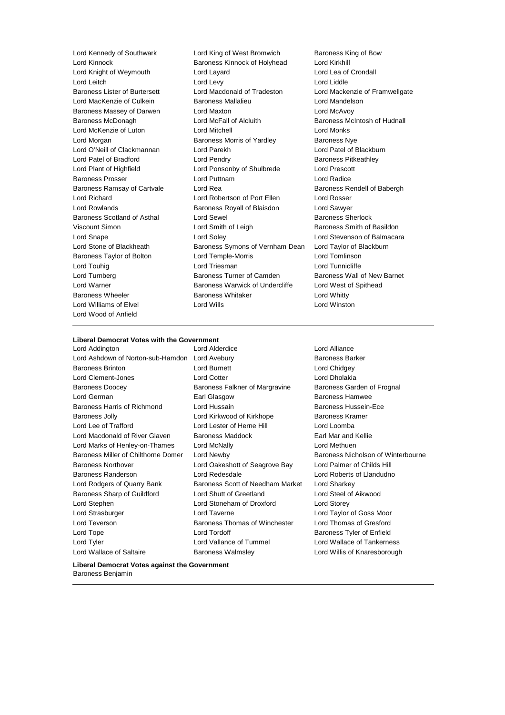Lord Wood of Anfield

Lord Kennedy of Southwark Lord King of West Bromwich Baroness King of Bow Lord Kinnock Baroness Kinnock of Holyhead Lord Kirkhill Lord Knight of Weymouth Lord Layard Lord Lea of Crondall Lord Leitch Lord Levy Lord Liddle Baroness Lister of Burtersett Lord Macdonald of Tradeston Lord Mackenzie of Framwellgate Lord MacKenzie of Culkein **Baroness Mallalieu** Lord Mandelson Baroness Massey of Darwen Lord Maxton Lord McAvoy Baroness McDonagh Lord McFall of Alcluith Baroness McIntosh of Hudnall Lord McKenzie of Luton Lord Mitchell Lord Monks Lord Morgan **Baroness Morris of Yardley** Baroness Nye Lord O'Neill of Clackmannan Lord Parekh Lord Patel of Blackburn Lord Patel of Bradford **Lord Pendry Community** Baroness Pitkeathley Lord Plant of Highfield Lord Ponsonby of Shulbrede Lord Prescott Baroness Prosser Lord Puttnam Lord Radice Baroness Ramsay of Cartvale Lord Rea Baroness Rendell of Babergh and Baroness Rendell of Babergh Lord Richard Lord Robertson of Port Ellen Lord Rosser Lord Rowlands Baroness Royall of Blaisdon Lord Sawyer Baroness Scotland of Asthal Lord Sewel **Baroness Sherlock** Baroness Sherlock Viscount Simon **Lord Smith of Leigh** Baroness Smith of Basildon Lord Snape Lord Soley Lord Stevenson of Balmacara Lord Stone of Blackheath Baroness Symons of Vernham Dean Lord Taylor of Blackburn Baroness Taylor of Bolton Lord Temple-Morris Lord Tomlinson Lord Touhig **Lord Triesman** Lord Triesman **Lord Tunnicliffe** Lord Turnberg **Baroness Turner of Camden** Baroness Wall of New Barnet Lord Warner **Baroness Warwick of Undercliffe** Lord West of Spithead Lord West of Spithead Baroness Wheeler **Baroness Whitaker** Baroness Whitaker **Lord Whitty** Lord Williams of Elvel Lord Wills Lord Winston

## **Liberal Democrat Votes with the Government**

Lord Addington Lord Alderdice Lord Alliance Lord Ashdown of Norton-sub-Hamdon Lord Avebury **Baroness Barker** Baroness Barker Baroness Brinton **Lord Burnett** Lord Chidgey Lord Clement-Jones Lord Cotter Lord Dholakia Baroness Doocey **Baroness Falkner of Margravine** Baroness Garden of Frognal Lord German Earl Glasgow Baroness Hamwee Baroness Harris of Richmond Lord Hussain **Baroness Hussein-Ece** Baroness Jolly **Communist Conducts** Lord Kirkwood of Kirkhope **Baroness Kramer** Lord Lee of Trafford Lord Lester of Herne Hill Lord Loomba Lord Macdonald of River Glaven Baroness Maddock **Earl Mar and Kellie** Lord Marks of Henley-on-Thames Lord McNally Lord Methuen Baroness Miller of Chilthorne Domer Lord Newby **Baroness Nicholson of Winterbourne** Baroness Northover Lord Oakeshott of Seagrove Bay Lord Palmer of Childs Hill Baroness Randerson Lord Redesdale Lord Roberts of Llandudno Lord Rodgers of Quarry Bank Baroness Scott of Needham Market Lord Sharkey Baroness Sharp of Guildford Lord Shutt of Greetland Lord Steel of Aikwood Lord Stephen Lord Stoneham of Droxford Lord Storey Lord Strasburger Lord Taverne Lord Taylor of Goss Moor Lord Teverson **Baroness Thomas of Winchester** Lord Thomas of Gresford Lord Tope **Lord Tordoff Container Baroness Tyler of Enfield** Lord Tyler Lord Vallance of Tummel Lord Wallace of Tankerness Lord Wallace of Saltaire **Baroness Walmsley Communist Conduct And My** Lord Willis of Knaresborough

**Liberal Democrat Votes against the Government** Baroness Benjamin